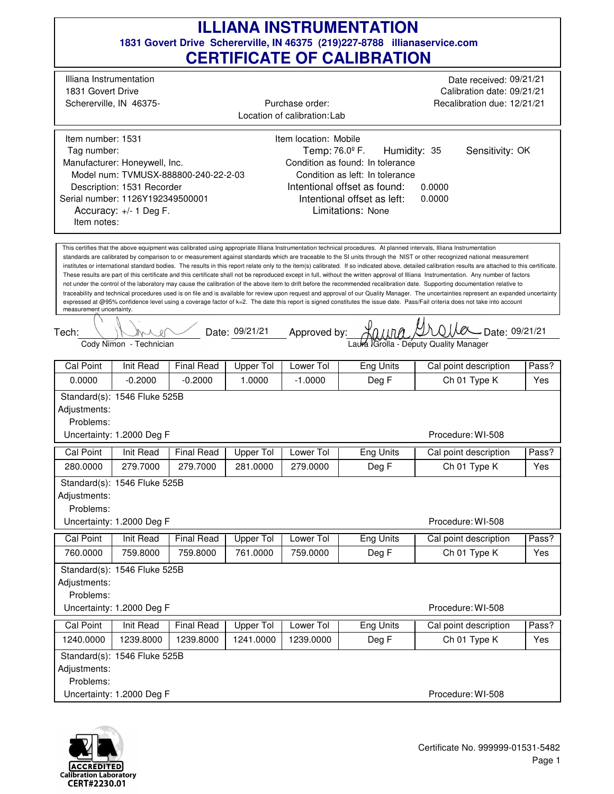| Illiana Instrumentation<br>Date received: 09/21/21<br>1831 Govert Drive<br>Calibration date: 09/21/21<br>Schererville, IN 46375-<br>Purchase order:<br>Recalibration due: 12/21/21<br>Location of calibration: Lab<br>Item number: 1531<br>Item location: Mobile<br>Humidity: 35<br>Temp: 76.0 <sup>°</sup> F.<br>Sensitivity: OK<br>Tag number:<br>Manufacturer: Honeywell, Inc.<br>Condition as found: In tolerance<br>Model num: TVMUSX-888800-240-22-2-03<br>Condition as left: In tolerance<br>Intentional offset as found:<br>Description: 1531 Recorder<br>0.0000<br>Serial number: 1126Y192349500001<br>Intentional offset as left:<br>0.0000<br>Limitations: None<br>Accuracy: +/- 1 Deg F.<br>Item notes:<br>This certifies that the above equipment was calibrated using appropriate Illiana Instrumentation technical procedures. At planned intervals, Illiana Instrumentation<br>standards are calibrated by comparison to or measurement against standards which are traceable to the SI units through the NIST or other recognized national measurement<br>institutes or international standard bodies. The results in this report relate only to the item(s) calibrated. If so indicated above, detailed calibration results are attached to this certificate.<br>These results are part of this certificate and this certificate shall not be reproduced except in full, without the written approval of Illiana Instrumentation. Any number of factors<br>not under the control of the laboratory may cause the calibration of the above item to drift before the recommended recalibration date. Supporting documentation relative to<br>traceability and technical procedures used is on file and is available for review upon request and approval of our Quality Manager. The uncertainties represent an expanded uncertainty<br>expressed at @95% confidence level using a coverage factor of k=2. The date this report is signed constitutes the issue date. Pass/Fail criteria does not take into account<br>measurement uncertainty.<br>Date: 09/21/21 Approved by:<br>$-$ Date: 09/21/21<br>Tech:<br>Laura IGrolla - Deputy Quality Manager<br>Cody Nimon - Technician<br>Cal Point<br>Init Read<br><b>Final Read</b><br><b>Upper Tol</b><br>Lower Tol<br>Eng Units<br>Cal point description<br>Pass?<br>0.0000<br>$-0.2000$<br>$-0.2000$<br>1.0000<br>$-1.0000$<br>Deg F<br>Ch 01 Type K<br>Yes<br>Standard(s): 1546 Fluke 525B<br>Adjustments:<br>Problems:<br>Procedure: WI-508<br>Uncertainty: 1.2000 Deg F<br>Cal Point<br>Init Read<br><b>Final Read</b><br>Upper Tol<br>Lower Tol<br><b>Eng Units</b><br>Cal point description<br>Pass?<br>280.0000<br>279.7000<br>279.7000<br>Deg F<br>Ch 01 Type K<br>281.0000<br>279.0000<br>Yes<br>Standard(s): 1546 Fluke 525B<br>Adjustments:<br>Problems:<br>Uncertainty: 1.2000 Deg F<br>Procedure: WI-508<br><b>Upper Tol</b><br><b>Eng Units</b><br><b>Cal Point</b><br><b>Init Read</b><br><b>Final Read</b><br>Lower Tol<br>Cal point description<br>Pass?<br>Deg F<br>Ch 01 Type K<br>760.0000<br>759.8000<br>761.0000<br>759.0000<br>759.8000<br>Yes<br>Standard(s): 1546 Fluke 525B<br>Adjustments:<br>Problems:<br>Uncertainty: 1.2000 Deg F<br>Procedure: WI-508<br><b>Final Read</b><br><b>Cal Point</b><br><b>Init Read</b><br><b>Upper Tol</b><br>Lower Tol<br><b>Eng Units</b><br>Pass?<br>Cal point description<br>Ch 01 Type K<br>1240.0000<br>1239.8000<br>1239.0000<br>Deg F<br>1239.8000<br>1241.0000<br>Yes<br>Standard(s): 1546 Fluke 525B<br>Adjustments:<br>Problems: |  |  |  |  |  | UERTIFIUATE UF UALIDRATIUN |                   |  |  |
|------------------------------------------------------------------------------------------------------------------------------------------------------------------------------------------------------------------------------------------------------------------------------------------------------------------------------------------------------------------------------------------------------------------------------------------------------------------------------------------------------------------------------------------------------------------------------------------------------------------------------------------------------------------------------------------------------------------------------------------------------------------------------------------------------------------------------------------------------------------------------------------------------------------------------------------------------------------------------------------------------------------------------------------------------------------------------------------------------------------------------------------------------------------------------------------------------------------------------------------------------------------------------------------------------------------------------------------------------------------------------------------------------------------------------------------------------------------------------------------------------------------------------------------------------------------------------------------------------------------------------------------------------------------------------------------------------------------------------------------------------------------------------------------------------------------------------------------------------------------------------------------------------------------------------------------------------------------------------------------------------------------------------------------------------------------------------------------------------------------------------------------------------------------------------------------------------------------------------------------------------------------------------------------------------------------------------------------------------------------------------------------------------------------------------------------------------------------------------------------------------------------------------------------------------------------------------------------------------------------------------------------------------------------------------------------------------------------------------------------------------------------------------------------------------------------------------------------------------------------------------------------------------------------------------------------------------------------------------------------------------------------------------------------------------------------------------------------------------------------------------------------------------------------------------------------------------------------------------------------------------------------------------------------------------------------------------------------------------------------------------------------------------------------------------------------------------------------------------------------------------------------------------------------------------------------------|--|--|--|--|--|----------------------------|-------------------|--|--|
|                                                                                                                                                                                                                                                                                                                                                                                                                                                                                                                                                                                                                                                                                                                                                                                                                                                                                                                                                                                                                                                                                                                                                                                                                                                                                                                                                                                                                                                                                                                                                                                                                                                                                                                                                                                                                                                                                                                                                                                                                                                                                                                                                                                                                                                                                                                                                                                                                                                                                                                                                                                                                                                                                                                                                                                                                                                                                                                                                                                                                                                                                                                                                                                                                                                                                                                                                                                                                                                                                                                                                                        |  |  |  |  |  |                            |                   |  |  |
|                                                                                                                                                                                                                                                                                                                                                                                                                                                                                                                                                                                                                                                                                                                                                                                                                                                                                                                                                                                                                                                                                                                                                                                                                                                                                                                                                                                                                                                                                                                                                                                                                                                                                                                                                                                                                                                                                                                                                                                                                                                                                                                                                                                                                                                                                                                                                                                                                                                                                                                                                                                                                                                                                                                                                                                                                                                                                                                                                                                                                                                                                                                                                                                                                                                                                                                                                                                                                                                                                                                                                                        |  |  |  |  |  |                            |                   |  |  |
|                                                                                                                                                                                                                                                                                                                                                                                                                                                                                                                                                                                                                                                                                                                                                                                                                                                                                                                                                                                                                                                                                                                                                                                                                                                                                                                                                                                                                                                                                                                                                                                                                                                                                                                                                                                                                                                                                                                                                                                                                                                                                                                                                                                                                                                                                                                                                                                                                                                                                                                                                                                                                                                                                                                                                                                                                                                                                                                                                                                                                                                                                                                                                                                                                                                                                                                                                                                                                                                                                                                                                                        |  |  |  |  |  |                            |                   |  |  |
|                                                                                                                                                                                                                                                                                                                                                                                                                                                                                                                                                                                                                                                                                                                                                                                                                                                                                                                                                                                                                                                                                                                                                                                                                                                                                                                                                                                                                                                                                                                                                                                                                                                                                                                                                                                                                                                                                                                                                                                                                                                                                                                                                                                                                                                                                                                                                                                                                                                                                                                                                                                                                                                                                                                                                                                                                                                                                                                                                                                                                                                                                                                                                                                                                                                                                                                                                                                                                                                                                                                                                                        |  |  |  |  |  |                            |                   |  |  |
|                                                                                                                                                                                                                                                                                                                                                                                                                                                                                                                                                                                                                                                                                                                                                                                                                                                                                                                                                                                                                                                                                                                                                                                                                                                                                                                                                                                                                                                                                                                                                                                                                                                                                                                                                                                                                                                                                                                                                                                                                                                                                                                                                                                                                                                                                                                                                                                                                                                                                                                                                                                                                                                                                                                                                                                                                                                                                                                                                                                                                                                                                                                                                                                                                                                                                                                                                                                                                                                                                                                                                                        |  |  |  |  |  |                            |                   |  |  |
|                                                                                                                                                                                                                                                                                                                                                                                                                                                                                                                                                                                                                                                                                                                                                                                                                                                                                                                                                                                                                                                                                                                                                                                                                                                                                                                                                                                                                                                                                                                                                                                                                                                                                                                                                                                                                                                                                                                                                                                                                                                                                                                                                                                                                                                                                                                                                                                                                                                                                                                                                                                                                                                                                                                                                                                                                                                                                                                                                                                                                                                                                                                                                                                                                                                                                                                                                                                                                                                                                                                                                                        |  |  |  |  |  |                            |                   |  |  |
|                                                                                                                                                                                                                                                                                                                                                                                                                                                                                                                                                                                                                                                                                                                                                                                                                                                                                                                                                                                                                                                                                                                                                                                                                                                                                                                                                                                                                                                                                                                                                                                                                                                                                                                                                                                                                                                                                                                                                                                                                                                                                                                                                                                                                                                                                                                                                                                                                                                                                                                                                                                                                                                                                                                                                                                                                                                                                                                                                                                                                                                                                                                                                                                                                                                                                                                                                                                                                                                                                                                                                                        |  |  |  |  |  |                            |                   |  |  |
|                                                                                                                                                                                                                                                                                                                                                                                                                                                                                                                                                                                                                                                                                                                                                                                                                                                                                                                                                                                                                                                                                                                                                                                                                                                                                                                                                                                                                                                                                                                                                                                                                                                                                                                                                                                                                                                                                                                                                                                                                                                                                                                                                                                                                                                                                                                                                                                                                                                                                                                                                                                                                                                                                                                                                                                                                                                                                                                                                                                                                                                                                                                                                                                                                                                                                                                                                                                                                                                                                                                                                                        |  |  |  |  |  |                            |                   |  |  |
|                                                                                                                                                                                                                                                                                                                                                                                                                                                                                                                                                                                                                                                                                                                                                                                                                                                                                                                                                                                                                                                                                                                                                                                                                                                                                                                                                                                                                                                                                                                                                                                                                                                                                                                                                                                                                                                                                                                                                                                                                                                                                                                                                                                                                                                                                                                                                                                                                                                                                                                                                                                                                                                                                                                                                                                                                                                                                                                                                                                                                                                                                                                                                                                                                                                                                                                                                                                                                                                                                                                                                                        |  |  |  |  |  |                            |                   |  |  |
|                                                                                                                                                                                                                                                                                                                                                                                                                                                                                                                                                                                                                                                                                                                                                                                                                                                                                                                                                                                                                                                                                                                                                                                                                                                                                                                                                                                                                                                                                                                                                                                                                                                                                                                                                                                                                                                                                                                                                                                                                                                                                                                                                                                                                                                                                                                                                                                                                                                                                                                                                                                                                                                                                                                                                                                                                                                                                                                                                                                                                                                                                                                                                                                                                                                                                                                                                                                                                                                                                                                                                                        |  |  |  |  |  |                            |                   |  |  |
|                                                                                                                                                                                                                                                                                                                                                                                                                                                                                                                                                                                                                                                                                                                                                                                                                                                                                                                                                                                                                                                                                                                                                                                                                                                                                                                                                                                                                                                                                                                                                                                                                                                                                                                                                                                                                                                                                                                                                                                                                                                                                                                                                                                                                                                                                                                                                                                                                                                                                                                                                                                                                                                                                                                                                                                                                                                                                                                                                                                                                                                                                                                                                                                                                                                                                                                                                                                                                                                                                                                                                                        |  |  |  |  |  |                            |                   |  |  |
|                                                                                                                                                                                                                                                                                                                                                                                                                                                                                                                                                                                                                                                                                                                                                                                                                                                                                                                                                                                                                                                                                                                                                                                                                                                                                                                                                                                                                                                                                                                                                                                                                                                                                                                                                                                                                                                                                                                                                                                                                                                                                                                                                                                                                                                                                                                                                                                                                                                                                                                                                                                                                                                                                                                                                                                                                                                                                                                                                                                                                                                                                                                                                                                                                                                                                                                                                                                                                                                                                                                                                                        |  |  |  |  |  |                            |                   |  |  |
|                                                                                                                                                                                                                                                                                                                                                                                                                                                                                                                                                                                                                                                                                                                                                                                                                                                                                                                                                                                                                                                                                                                                                                                                                                                                                                                                                                                                                                                                                                                                                                                                                                                                                                                                                                                                                                                                                                                                                                                                                                                                                                                                                                                                                                                                                                                                                                                                                                                                                                                                                                                                                                                                                                                                                                                                                                                                                                                                                                                                                                                                                                                                                                                                                                                                                                                                                                                                                                                                                                                                                                        |  |  |  |  |  |                            |                   |  |  |
|                                                                                                                                                                                                                                                                                                                                                                                                                                                                                                                                                                                                                                                                                                                                                                                                                                                                                                                                                                                                                                                                                                                                                                                                                                                                                                                                                                                                                                                                                                                                                                                                                                                                                                                                                                                                                                                                                                                                                                                                                                                                                                                                                                                                                                                                                                                                                                                                                                                                                                                                                                                                                                                                                                                                                                                                                                                                                                                                                                                                                                                                                                                                                                                                                                                                                                                                                                                                                                                                                                                                                                        |  |  |  |  |  |                            |                   |  |  |
| Uncertainty: 1.2000 Deg F                                                                                                                                                                                                                                                                                                                                                                                                                                                                                                                                                                                                                                                                                                                                                                                                                                                                                                                                                                                                                                                                                                                                                                                                                                                                                                                                                                                                                                                                                                                                                                                                                                                                                                                                                                                                                                                                                                                                                                                                                                                                                                                                                                                                                                                                                                                                                                                                                                                                                                                                                                                                                                                                                                                                                                                                                                                                                                                                                                                                                                                                                                                                                                                                                                                                                                                                                                                                                                                                                                                                              |  |  |  |  |  |                            | Procedure: WI-508 |  |  |

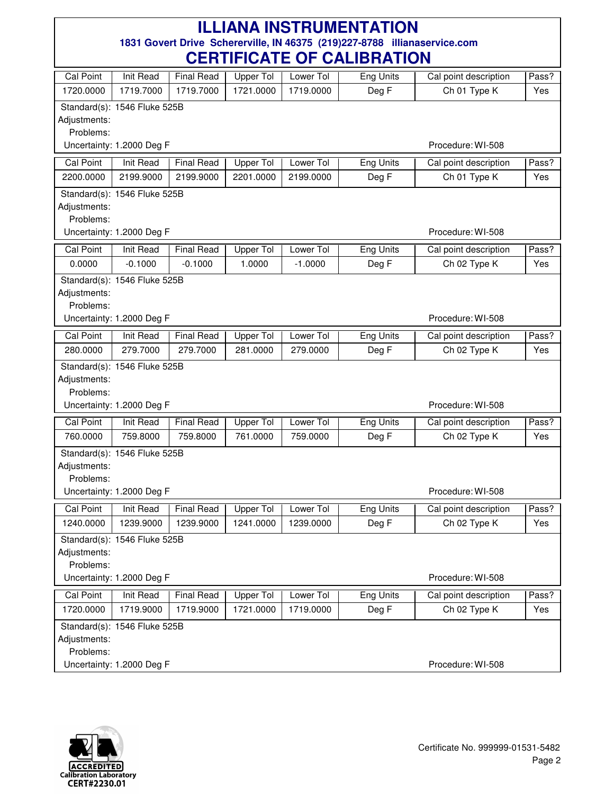| Cal Point                 | Init Read                    | <b>Final Read</b> | <b>Upper Tol</b> | Lower Tol | Eng Units        | Cal point description | Pass? |
|---------------------------|------------------------------|-------------------|------------------|-----------|------------------|-----------------------|-------|
| 1720.0000                 | 1719.7000                    | 1719.7000         | 1721.0000        | 1719.0000 | Deg F            | Ch 01 Type K          | Yes   |
|                           | Standard(s): 1546 Fluke 525B |                   |                  |           |                  |                       |       |
| Adjustments:              |                              |                   |                  |           |                  |                       |       |
| Problems:                 |                              |                   |                  |           |                  |                       |       |
|                           | Uncertainty: 1.2000 Deg F    |                   |                  |           |                  | Procedure: WI-508     |       |
| <b>Cal Point</b>          | Init Read                    | <b>Final Read</b> | Upper Tol        | Lower Tol | Eng Units        | Cal point description | Pass? |
| 2200.0000                 | 2199.9000                    | 2199.9000         | 2201.0000        | 2199.0000 | Deg F            | Ch 01 Type K          | Yes   |
|                           | Standard(s): 1546 Fluke 525B |                   |                  |           |                  |                       |       |
| Adjustments:              |                              |                   |                  |           |                  |                       |       |
| Problems:                 |                              |                   |                  |           |                  |                       |       |
|                           | Uncertainty: 1.2000 Deg F    |                   |                  |           |                  | Procedure: WI-508     |       |
| <b>Cal Point</b>          | Init Read                    | <b>Final Read</b> | <b>Upper Tol</b> | Lower Tol | Eng Units        | Cal point description | Pass? |
| 0.0000                    | $-0.1000$                    | $-0.1000$         | 1.0000           | $-1.0000$ | Deg F            | Ch 02 Type K          | Yes   |
|                           | Standard(s): 1546 Fluke 525B |                   |                  |           |                  |                       |       |
| Adjustments:              |                              |                   |                  |           |                  |                       |       |
| Problems:                 |                              |                   |                  |           |                  |                       |       |
|                           | Uncertainty: 1.2000 Deg F    |                   |                  |           |                  | Procedure: WI-508     |       |
| <b>Cal Point</b>          | Init Read                    | <b>Final Read</b> | <b>Upper Tol</b> | Lower Tol | <b>Eng Units</b> | Cal point description | Pass? |
| 280.0000                  | 279.7000                     | 279.7000          | 281.0000         | 279.0000  | Deg F            | Ch 02 Type K          | Yes   |
|                           | Standard(s): 1546 Fluke 525B |                   |                  |           |                  |                       |       |
| Adjustments:              |                              |                   |                  |           |                  |                       |       |
| Problems:                 | Uncertainty: 1.2000 Deg F    |                   |                  |           |                  | Procedure: WI-508     |       |
|                           |                              |                   |                  |           |                  |                       |       |
| <b>Cal Point</b>          | <b>Init Read</b>             | <b>Final Read</b> | <b>Upper Tol</b> | Lower Tol | <b>Eng Units</b> | Cal point description | Pass? |
| 760.0000                  | 759.8000                     | 759.8000          | 761.0000         | 759.0000  | Deg F            | Ch 02 Type K          | Yes   |
|                           | Standard(s): 1546 Fluke 525B |                   |                  |           |                  |                       |       |
| Adjustments:              |                              |                   |                  |           |                  |                       |       |
| Problems:                 | Uncertainty: 1.2000 Deg F    |                   |                  |           |                  | Procedure: WI-508     |       |
|                           |                              |                   |                  |           |                  |                       |       |
| Cal Point                 | Init Read                    | <b>Final Read</b> | Upper Tol        | Lower Tol | Eng Units        | Cal point description | Pass? |
| 1240.0000                 | 1239.9000                    | 1239.9000         | 1241.0000        | 1239.0000 | Deg F            | Ch 02 Type K          | Yes   |
|                           | Standard(s): 1546 Fluke 525B |                   |                  |           |                  |                       |       |
| Adjustments:<br>Problems: |                              |                   |                  |           |                  |                       |       |
|                           | Uncertainty: 1.2000 Deg F    |                   |                  |           |                  | Procedure: WI-508     |       |
|                           |                              |                   |                  |           |                  |                       |       |
| <b>Cal Point</b>          | Init Read                    | <b>Final Read</b> | <b>Upper Tol</b> | Lower Tol | <b>Eng Units</b> | Cal point description | Pass? |
| 1720.0000                 | 1719.9000                    | 1719.9000         | 1721.0000        | 1719.0000 | Deg F            | Ch 02 Type K          | Yes   |
|                           | Standard(s): 1546 Fluke 525B |                   |                  |           |                  |                       |       |
| Adjustments:<br>Problems: |                              |                   |                  |           |                  |                       |       |
|                           | Uncertainty: 1.2000 Deg F    |                   |                  |           |                  | Procedure: WI-508     |       |
|                           |                              |                   |                  |           |                  |                       |       |

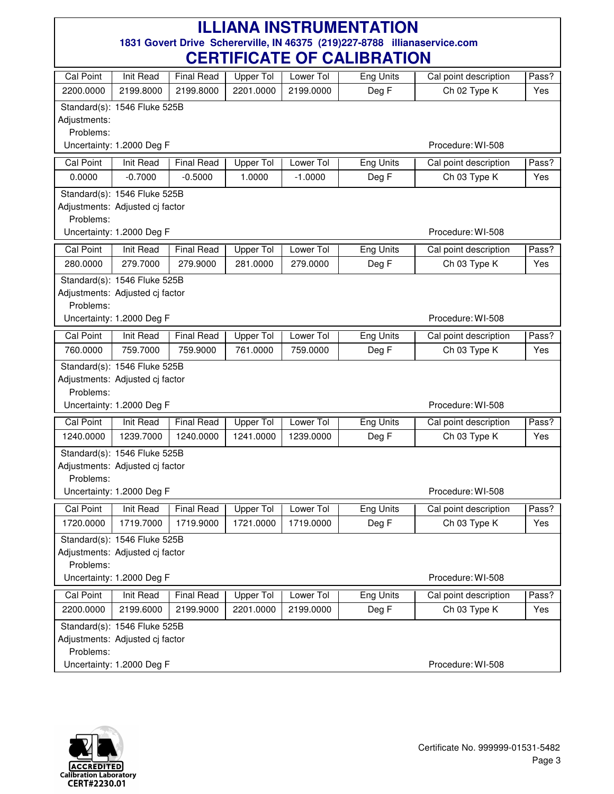| Cal Point        | Init Read                       | <b>Final Read</b> | Upper Tol        | Lower Tol | Eng Units        | Cal point description | Pass? |
|------------------|---------------------------------|-------------------|------------------|-----------|------------------|-----------------------|-------|
| 2200.0000        | 2199.8000                       | 2199.8000         | 2201.0000        | 2199.0000 | Deg F            | Ch 02 Type K          | Yes   |
|                  | Standard(s): 1546 Fluke 525B    |                   |                  |           |                  |                       |       |
| Adjustments:     |                                 |                   |                  |           |                  |                       |       |
| Problems:        |                                 |                   |                  |           |                  |                       |       |
|                  | Uncertainty: 1.2000 Deg F       |                   |                  |           |                  | Procedure: WI-508     |       |
| <b>Cal Point</b> | <b>Init Read</b>                | <b>Final Read</b> | Upper Tol        | Lower Tol | <b>Eng Units</b> | Cal point description | Pass? |
| 0.0000           | $-0.7000$                       | $-0.5000$         | 1.0000           | $-1.0000$ | Deg F            | Ch 03 Type K          | Yes   |
|                  | Standard(s): 1546 Fluke 525B    |                   |                  |           |                  |                       |       |
|                  | Adjustments: Adjusted cj factor |                   |                  |           |                  |                       |       |
| Problems:        |                                 |                   |                  |           |                  |                       |       |
|                  | Uncertainty: 1.2000 Deg F       |                   |                  |           |                  | Procedure: WI-508     |       |
| Cal Point        | Init Read                       | <b>Final Read</b> | <b>Upper Tol</b> | Lower Tol | Eng Units        | Cal point description | Pass? |
| 280.0000         | 279.7000                        | 279.9000          | 281.0000         | 279.0000  | Deg F            | Ch 03 Type K          | Yes   |
|                  | Standard(s): 1546 Fluke 525B    |                   |                  |           |                  |                       |       |
|                  | Adjustments: Adjusted cj factor |                   |                  |           |                  |                       |       |
| Problems:        |                                 |                   |                  |           |                  |                       |       |
|                  | Uncertainty: 1.2000 Deg F       |                   |                  |           |                  | Procedure: WI-508     |       |
| Cal Point        | Init Read                       | <b>Final Read</b> | <b>Upper Tol</b> | Lower Tol | Eng Units        | Cal point description | Pass? |
| 760.0000         | 759.7000                        | 759.9000          | 761.0000         | 759.0000  | Deg F            | Ch 03 Type K          | Yes   |
|                  | Standard(s): 1546 Fluke 525B    |                   |                  |           |                  |                       |       |
|                  | Adjustments: Adjusted cj factor |                   |                  |           |                  |                       |       |
| Problems:        |                                 |                   |                  |           |                  |                       |       |
|                  | Uncertainty: 1.2000 Deg F       |                   |                  |           |                  | Procedure: WI-508     |       |
| Cal Point        | <b>Init Read</b>                | <b>Final Read</b> | Upper Tol        | Lower Tol | <b>Eng Units</b> | Cal point description | Pass? |
| 1240.0000        | 1239.7000                       | 1240.0000         | 1241.0000        | 1239.0000 | Deg F            | Ch 03 Type K          | Yes   |
|                  | Standard(s): 1546 Fluke 525B    |                   |                  |           |                  |                       |       |
|                  | Adjustments: Adjusted cj factor |                   |                  |           |                  |                       |       |
| Problems:        |                                 |                   |                  |           |                  |                       |       |
|                  | Uncertainty: 1.2000 Deg F       |                   |                  |           |                  | Procedure: WI-508     |       |
| Cal Point        | Init Read                       | <b>Final Read</b> | Upper Tol        | Lower Tol | Eng Units        | Cal point description | Pass? |
| 1720.0000        | 1719.7000                       | 1719.9000         | 1721.0000        | 1719.0000 | Deg F            | Ch 03 Type K          | Yes   |
|                  | Standard(s): 1546 Fluke 525B    |                   |                  |           |                  |                       |       |
|                  | Adjustments: Adjusted cj factor |                   |                  |           |                  |                       |       |
| Problems:        |                                 |                   |                  |           |                  |                       |       |
|                  | Uncertainty: 1.2000 Deg F       |                   |                  |           |                  | Procedure: WI-508     |       |
| Cal Point        | <b>Init Read</b>                | <b>Final Read</b> | <b>Upper Tol</b> | Lower Tol | <b>Eng Units</b> | Cal point description | Pass? |
| 2200.0000        | 2199.6000                       | 2199.9000         | 2201.0000        | 2199.0000 | Deg F            | Ch 03 Type K          | Yes   |
|                  | Standard(s): 1546 Fluke 525B    |                   |                  |           |                  |                       |       |
|                  | Adjustments: Adjusted cj factor |                   |                  |           |                  |                       |       |
| Problems:        |                                 |                   |                  |           |                  |                       |       |
|                  | Uncertainty: 1.2000 Deg F       |                   |                  |           |                  | Procedure: WI-508     |       |

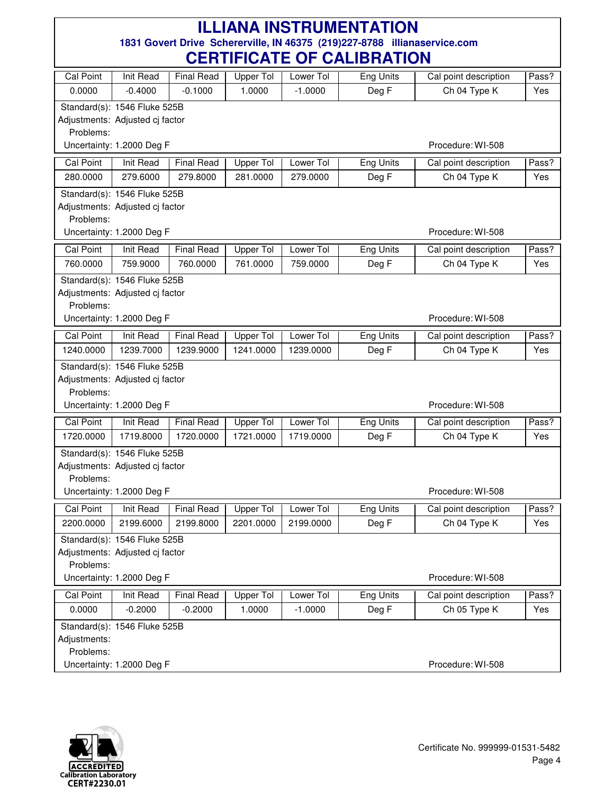| Cal Point        | Init Read                                                       | <b>Final Read</b> | <b>Upper Tol</b> | Lower Tol | Eng Units        | Cal point description | Pass? |
|------------------|-----------------------------------------------------------------|-------------------|------------------|-----------|------------------|-----------------------|-------|
| 0.0000           | $-0.4000$                                                       | $-0.1000$         | 1.0000           | $-1.0000$ | Deg F            | Ch 04 Type K          | Yes   |
|                  | Standard(s): 1546 Fluke 525B                                    |                   |                  |           |                  |                       |       |
|                  | Adjustments: Adjusted cj factor                                 |                   |                  |           |                  |                       |       |
| Problems:        |                                                                 |                   |                  |           |                  |                       |       |
|                  | Uncertainty: 1.2000 Deg F                                       |                   |                  |           |                  | Procedure: WI-508     |       |
| <b>Cal Point</b> | Init Read                                                       | <b>Final Read</b> | Upper Tol        | Lower Tol | Eng Units        | Cal point description | Pass? |
| 280.0000         | 279.6000                                                        | 279.8000          | 281.0000         | 279.0000  | Deg F            | Ch 04 Type K          | Yes   |
|                  | Standard(s): 1546 Fluke 525B                                    |                   |                  |           |                  |                       |       |
|                  | Adjustments: Adjusted cj factor                                 |                   |                  |           |                  |                       |       |
| Problems:        | Uncertainty: 1.2000 Deg F                                       |                   |                  |           |                  | Procedure: WI-508     |       |
|                  |                                                                 |                   |                  |           |                  |                       |       |
| Cal Point        | Init Read                                                       | <b>Final Read</b> | <b>Upper Tol</b> | Lower Tol | Eng Units        | Cal point description | Pass? |
| 760.0000         | 759.9000                                                        | 760.0000          | 761.0000         | 759.0000  | Deg F            | Ch 04 Type K          | Yes   |
|                  | Standard(s): 1546 Fluke 525B                                    |                   |                  |           |                  |                       |       |
| Problems:        | Adjustments: Adjusted cj factor                                 |                   |                  |           |                  |                       |       |
|                  | Uncertainty: 1.2000 Deg F                                       |                   |                  |           |                  | Procedure: WI-508     |       |
| Cal Point        | Init Read                                                       | <b>Final Read</b> | <b>Upper Tol</b> | Lower Tol | Eng Units        | Cal point description | Pass? |
| 1240.0000        | 1239.7000                                                       | 1239.9000         | 1241.0000        | 1239.0000 | Deg F            | Ch 04 Type K          | Yes   |
|                  |                                                                 |                   |                  |           |                  |                       |       |
|                  | Standard(s): 1546 Fluke 525B<br>Adjustments: Adjusted cj factor |                   |                  |           |                  |                       |       |
| Problems:        |                                                                 |                   |                  |           |                  |                       |       |
|                  | Uncertainty: 1.2000 Deg F                                       |                   |                  |           |                  | Procedure: WI-508     |       |
| <b>Cal Point</b> | <b>Init Read</b>                                                | <b>Final Read</b> | <b>Upper Tol</b> | Lower Tol | <b>Eng Units</b> | Cal point description | Pass? |
| 1720.0000        | 1719.8000                                                       | 1720.0000         | 1721.0000        | 1719.0000 | Deg F            | Ch 04 Type K          | Yes   |
|                  | Standard(s): 1546 Fluke 525B                                    |                   |                  |           |                  |                       |       |
|                  | Adjustments: Adjusted cj factor                                 |                   |                  |           |                  |                       |       |
| Problems:        |                                                                 |                   |                  |           |                  |                       |       |
|                  | Uncertainty: 1.2000 Deg F                                       |                   |                  |           |                  | Procedure: WI-508     |       |
| Cal Point        | Init Read                                                       | <b>Final Read</b> | Upper Tol        | Lower Tol | Eng Units        | Cal point description | Pass? |
| 2200.0000        | 2199.6000                                                       | 2199.8000         | 2201.0000        | 2199.0000 | Deg F            | Ch 04 Type K          | Yes   |
|                  | Standard(s): 1546 Fluke 525B                                    |                   |                  |           |                  |                       |       |
|                  | Adjustments: Adjusted cj factor                                 |                   |                  |           |                  |                       |       |
| Problems:        |                                                                 |                   |                  |           |                  |                       |       |
|                  | Uncertainty: 1.2000 Deg F                                       |                   |                  |           |                  | Procedure: WI-508     |       |
| <b>Cal Point</b> | Init Read                                                       | <b>Final Read</b> | <b>Upper Tol</b> | Lower Tol | <b>Eng Units</b> | Cal point description | Pass? |
| 0.0000           | $-0.2000$                                                       | $-0.2000$         | 1.0000           | $-1.0000$ | Deg F            | Ch 05 Type K          | Yes   |
|                  | Standard(s): 1546 Fluke 525B                                    |                   |                  |           |                  |                       |       |
| Adjustments:     |                                                                 |                   |                  |           |                  |                       |       |
| Problems:        |                                                                 |                   |                  |           |                  |                       |       |
|                  | Uncertainty: 1.2000 Deg F                                       |                   |                  |           |                  | Procedure: WI-508     |       |

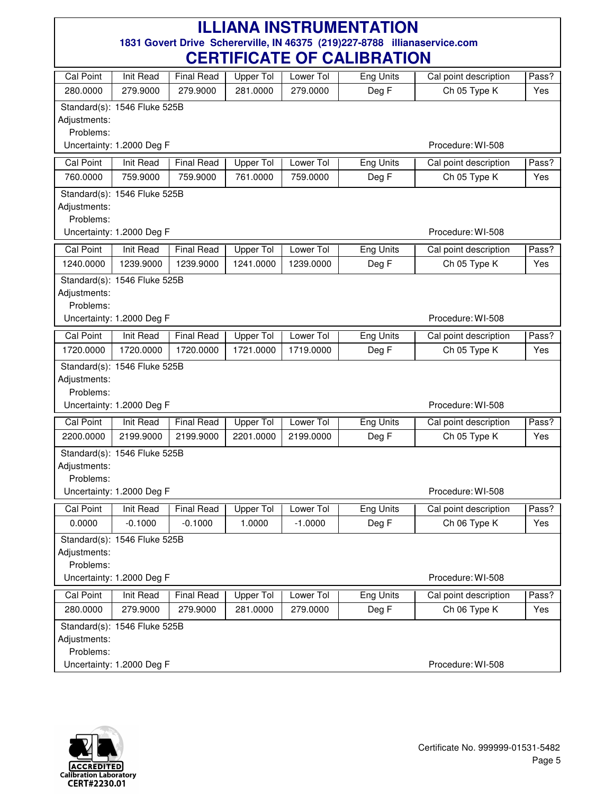| <b>Cal Point</b> | <b>Init Read</b>             | <b>Final Read</b> | Upper Tol        | Lower Tol | Eng Units        | Cal point description | Pass? |
|------------------|------------------------------|-------------------|------------------|-----------|------------------|-----------------------|-------|
| 280.0000         | 279.9000                     | 279.9000          | 281.0000         | 279.0000  | Deg F            | Ch 05 Type K          | Yes   |
|                  | Standard(s): 1546 Fluke 525B |                   |                  |           |                  |                       |       |
| Adjustments:     |                              |                   |                  |           |                  |                       |       |
| Problems:        |                              |                   |                  |           |                  |                       |       |
|                  | Uncertainty: 1.2000 Deg F    |                   |                  |           |                  | Procedure: WI-508     |       |
| <b>Cal Point</b> | <b>Init Read</b>             | <b>Final Read</b> | Upper Tol        | Lower Tol | Eng Units        | Cal point description | Pass? |
| 760.0000         | 759.9000                     | 759.9000          | 761.0000         | 759.0000  | Deg F            | Ch 05 Type K          | Yes   |
|                  | Standard(s): 1546 Fluke 525B |                   |                  |           |                  |                       |       |
| Adjustments:     |                              |                   |                  |           |                  |                       |       |
| Problems:        |                              |                   |                  |           |                  |                       |       |
|                  | Uncertainty: 1.2000 Deg F    |                   |                  |           |                  | Procedure: WI-508     |       |
| Cal Point        | <b>Init Read</b>             | <b>Final Read</b> | Upper Tol        | Lower Tol | Eng Units        | Cal point description | Pass? |
| 1240.0000        | 1239.9000                    | 1239.9000         | 1241.0000        | 1239.0000 | Deg F            | Ch 05 Type K          | Yes   |
|                  | Standard(s): 1546 Fluke 525B |                   |                  |           |                  |                       |       |
| Adjustments:     |                              |                   |                  |           |                  |                       |       |
| Problems:        |                              |                   |                  |           |                  |                       |       |
|                  | Uncertainty: 1.2000 Deg F    |                   |                  |           |                  | Procedure: WI-508     |       |
| <b>Cal Point</b> | <b>Init Read</b>             | <b>Final Read</b> | <b>Upper Tol</b> | Lower Tol | <b>Eng Units</b> | Cal point description | Pass? |
| 1720.0000        | 1720.0000                    | 1720.0000         | 1721.0000        | 1719.0000 | Deg F            | Ch 05 Type K          | Yes   |
|                  | Standard(s): 1546 Fluke 525B |                   |                  |           |                  |                       |       |
| Adjustments:     |                              |                   |                  |           |                  |                       |       |
| Problems:        |                              |                   |                  |           |                  |                       |       |
|                  | Uncertainty: 1.2000 Deg F    |                   |                  |           |                  | Procedure: WI-508     |       |
| <b>Cal Point</b> | Init Read                    | <b>Final Read</b> | <b>Upper Tol</b> | Lower Tol | <b>Eng Units</b> | Cal point description | Pass? |
| 2200.0000        | 2199.9000                    | 2199.9000         | 2201.0000        | 2199.0000 | Deg F            | Ch 05 Type K          | Yes   |
|                  | Standard(s): 1546 Fluke 525B |                   |                  |           |                  |                       |       |
| Adjustments:     |                              |                   |                  |           |                  |                       |       |
| Problems:        |                              |                   |                  |           |                  |                       |       |
|                  | Uncertainty: 1.2000 Deg F    |                   |                  |           |                  | Procedure: WI-508     |       |
| Cal Point        | Init Read                    | <b>Final Read</b> | Upper Tol        | Lower Tol | Eng Units        | Cal point description | Pass? |
| 0.0000           | $-0.1000$                    | $-0.1000$         | 1.0000           | $-1.0000$ | Deg F            | Ch 06 Type K          | Yes   |
|                  | Standard(s): 1546 Fluke 525B |                   |                  |           |                  |                       |       |
| Adjustments:     |                              |                   |                  |           |                  |                       |       |
| Problems:        |                              |                   |                  |           |                  |                       |       |
|                  | Uncertainty: 1.2000 Deg F    |                   |                  |           |                  | Procedure: WI-508     |       |
| Cal Point        | Init Read                    | <b>Final Read</b> | Upper Tol        | Lower Tol | Eng Units        | Cal point description | Pass? |
| 280.0000         | 279.9000                     | 279.9000          | 281.0000         | 279.0000  | Deg F            | Ch 06 Type K          | Yes   |
|                  | Standard(s): 1546 Fluke 525B |                   |                  |           |                  |                       |       |
| Adjustments:     |                              |                   |                  |           |                  |                       |       |
| Problems:        |                              |                   |                  |           |                  |                       |       |
|                  | Uncertainty: 1.2000 Deg F    |                   |                  |           |                  | Procedure: WI-508     |       |

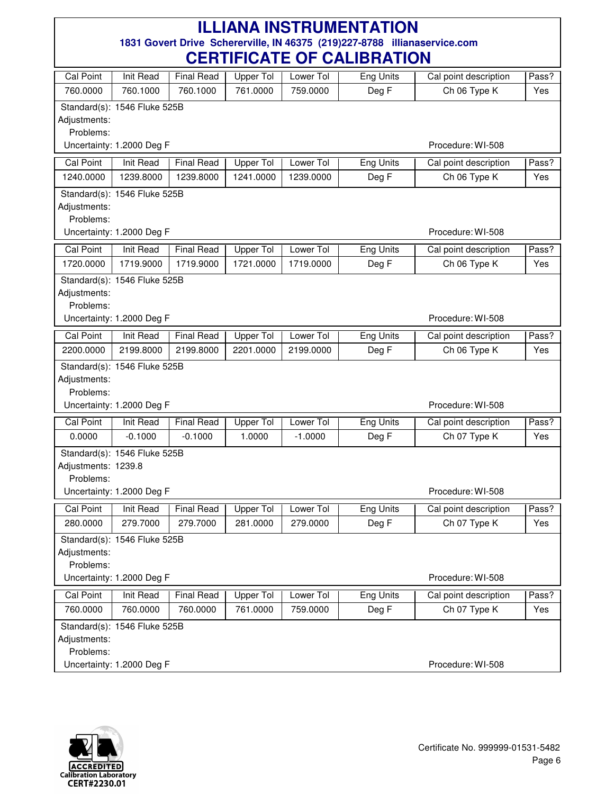|                           |                              |                   | VLIIIII IVAIL VI |           | <u>VALIDI IATIVIT</u> |                       |       |
|---------------------------|------------------------------|-------------------|------------------|-----------|-----------------------|-----------------------|-------|
| <b>Cal Point</b>          | <b>Init Read</b>             | <b>Final Read</b> | Upper Tol        | Lower Tol | Eng Units             | Cal point description | Pass? |
| 760.0000                  | 760.1000                     | 760.1000          | 761.0000         | 759.0000  | Deg F                 | Ch 06 Type K          | Yes   |
|                           | Standard(s): 1546 Fluke 525B |                   |                  |           |                       |                       |       |
| Adjustments:              |                              |                   |                  |           |                       |                       |       |
| Problems:                 |                              |                   |                  |           |                       |                       |       |
|                           | Uncertainty: 1.2000 Deg F    |                   |                  |           |                       | Procedure: WI-508     |       |
| <b>Cal Point</b>          | Init Read                    | <b>Final Read</b> | Upper Tol        | Lower Tol | <b>Eng Units</b>      | Cal point description | Pass? |
| 1240.0000                 | 1239.8000                    | 1239.8000         | 1241.0000        | 1239.0000 | Deg F                 | Ch 06 Type K          | Yes   |
|                           | Standard(s): 1546 Fluke 525B |                   |                  |           |                       |                       |       |
| Adjustments:              |                              |                   |                  |           |                       |                       |       |
| Problems:                 | Uncertainty: 1.2000 Deg F    |                   |                  |           |                       | Procedure: WI-508     |       |
|                           |                              |                   |                  |           |                       |                       |       |
| <b>Cal Point</b>          | Init Read                    | <b>Final Read</b> | <b>Upper Tol</b> | Lower Tol | Eng Units             | Cal point description | Pass? |
| 1720.0000                 | 1719.9000                    | 1719.9000         | 1721.0000        | 1719.0000 | Deg F                 | Ch 06 Type K          | Yes   |
|                           | Standard(s): 1546 Fluke 525B |                   |                  |           |                       |                       |       |
| Adjustments:              |                              |                   |                  |           |                       |                       |       |
| Problems:                 | Uncertainty: 1.2000 Deg F    |                   |                  |           |                       | Procedure: WI-508     |       |
|                           |                              |                   |                  |           |                       |                       |       |
| Cal Point                 | Init Read                    | <b>Final Read</b> | <b>Upper Tol</b> | Lower Tol | <b>Eng Units</b>      | Cal point description | Pass? |
| 2200.0000                 | 2199.8000                    | 2199.8000         | 2201.0000        | 2199.0000 | Deg F                 | Ch 06 Type K          | Yes   |
|                           | Standard(s): 1546 Fluke 525B |                   |                  |           |                       |                       |       |
| Adjustments:<br>Problems: |                              |                   |                  |           |                       |                       |       |
|                           | Uncertainty: 1.2000 Deg F    |                   |                  |           |                       | Procedure: WI-508     |       |
| <b>Cal Point</b>          | Init Read                    | <b>Final Read</b> | <b>Upper Tol</b> | Lower Tol | Eng Units             | Cal point description | Pass? |
| 0.0000                    | $-0.1000$                    | $-0.1000$         | 1.0000           | $-1.0000$ | Deg F                 | Ch 07 Type K          | Yes   |
|                           |                              |                   |                  |           |                       |                       |       |
| Adjustments: 1239.8       | Standard(s): 1546 Fluke 525B |                   |                  |           |                       |                       |       |
| Problems:                 |                              |                   |                  |           |                       |                       |       |
|                           | Uncertainty: 1.2000 Deg F    |                   |                  |           |                       | Procedure: WI-508     |       |
| Cal Point                 | Init Read                    | <b>Final Read</b> | Upper Tol        | Lower Tol | Eng Units             | Cal point description | Pass? |
| 280.0000                  | 279.7000                     | 279.7000          | 281.0000         | 279.0000  | Deg F                 | Ch 07 Type K          | Yes   |
|                           | Standard(s): 1546 Fluke 525B |                   |                  |           |                       |                       |       |
| Adjustments:              |                              |                   |                  |           |                       |                       |       |
| Problems:                 |                              |                   |                  |           |                       |                       |       |
|                           | Uncertainty: 1.2000 Deg F    |                   |                  |           |                       | Procedure: WI-508     |       |
| <b>Cal Point</b>          | Init Read                    | <b>Final Read</b> | Upper Tol        | Lower Tol | Eng Units             | Cal point description | Pass? |
| 760.0000                  | 760.0000                     | 760.0000          | 761.0000         | 759.0000  | Deg F                 | Ch 07 Type K          | Yes   |
|                           | Standard(s): 1546 Fluke 525B |                   |                  |           |                       |                       |       |
| Adjustments:              |                              |                   |                  |           |                       |                       |       |
| Problems:                 |                              |                   |                  |           |                       |                       |       |
|                           | Uncertainty: 1.2000 Deg F    |                   |                  |           |                       | Procedure: WI-508     |       |

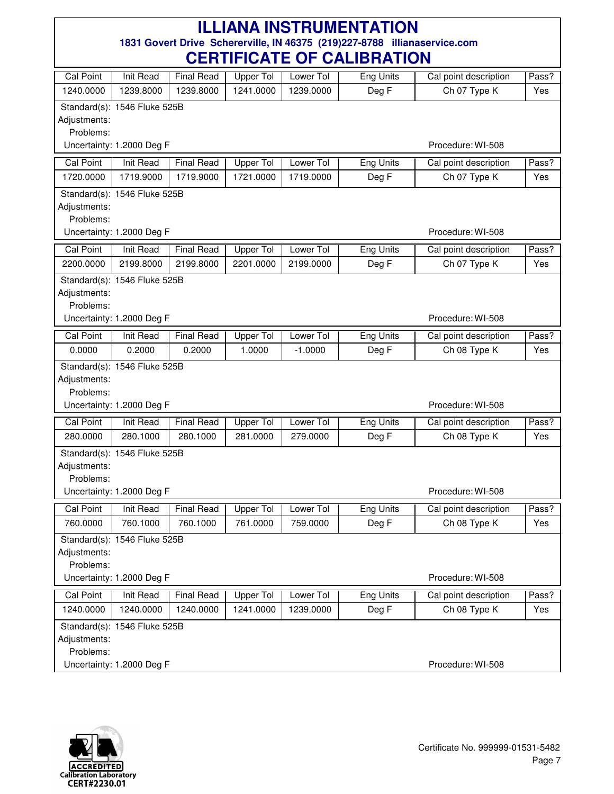|                           |                              |                   | VLIIIII IVAIL VI |           | <u>VALIDI IATIVIT</u> |                       |       |
|---------------------------|------------------------------|-------------------|------------------|-----------|-----------------------|-----------------------|-------|
| Cal Point                 | <b>Init Read</b>             | <b>Final Read</b> | Upper Tol        | Lower Tol | Eng Units             | Cal point description | Pass? |
| 1240.0000                 | 1239.8000                    | 1239.8000         | 1241.0000        | 1239.0000 | Deg F                 | Ch 07 Type K          | Yes   |
|                           | Standard(s): 1546 Fluke 525B |                   |                  |           |                       |                       |       |
| Adjustments:              |                              |                   |                  |           |                       |                       |       |
| Problems:                 |                              |                   |                  |           |                       |                       |       |
|                           | Uncertainty: 1.2000 Deg F    |                   |                  |           |                       | Procedure: WI-508     |       |
| <b>Cal Point</b>          | Init Read                    | <b>Final Read</b> | <b>Upper Tol</b> | Lower Tol | <b>Eng Units</b>      | Cal point description | Pass? |
| 1720.0000                 | 1719.9000                    | 1719.9000         | 1721.0000        | 1719.0000 | Deg F                 | Ch 07 Type K          | Yes   |
|                           | Standard(s): 1546 Fluke 525B |                   |                  |           |                       |                       |       |
| Adjustments:              |                              |                   |                  |           |                       |                       |       |
| Problems:                 |                              |                   |                  |           |                       | Procedure: WI-508     |       |
|                           | Uncertainty: 1.2000 Deg F    |                   |                  |           |                       |                       |       |
| <b>Cal Point</b>          | Init Read                    | <b>Final Read</b> | <b>Upper Tol</b> | Lower Tol | Eng Units             | Cal point description | Pass? |
| 2200.0000                 | 2199.8000                    | 2199.8000         | 2201.0000        | 2199.0000 | Deg F                 | Ch 07 Type K          | Yes   |
|                           | Standard(s): 1546 Fluke 525B |                   |                  |           |                       |                       |       |
| Adjustments:              |                              |                   |                  |           |                       |                       |       |
| Problems:                 | Uncertainty: 1.2000 Deg F    |                   |                  |           |                       | Procedure: WI-508     |       |
|                           |                              |                   |                  |           |                       |                       |       |
| Cal Point                 | Init Read                    | <b>Final Read</b> | <b>Upper Tol</b> | Lower Tol | <b>Eng Units</b>      | Cal point description | Pass? |
| 0.0000                    | 0.2000                       | 0.2000            | 1.0000           | $-1.0000$ | Deg F                 | Ch 08 Type K          | Yes   |
|                           | Standard(s): 1546 Fluke 525B |                   |                  |           |                       |                       |       |
| Adjustments:<br>Problems: |                              |                   |                  |           |                       |                       |       |
|                           | Uncertainty: 1.2000 Deg F    |                   |                  |           |                       | Procedure: WI-508     |       |
| <b>Cal Point</b>          | Init Read                    | <b>Final Read</b> | Upper Tol        | Lower Tol | Eng Units             | Cal point description | Pass? |
| 280.0000                  | 280.1000                     | 280.1000          | 281.0000         | 279.0000  | Deg F                 | Ch 08 Type K          | Yes   |
|                           |                              |                   |                  |           |                       |                       |       |
| Adjustments:              | Standard(s): 1546 Fluke 525B |                   |                  |           |                       |                       |       |
| Problems:                 |                              |                   |                  |           |                       |                       |       |
|                           | Uncertainty: 1.2000 Deg F    |                   |                  |           |                       | Procedure: WI-508     |       |
| <b>Cal Point</b>          | Init Read                    | <b>Final Read</b> | Upper Tol        | Lower Tol | Eng Units             | Cal point description | Pass? |
| 760.0000                  | 760.1000                     | 760.1000          | 761.0000         | 759.0000  | Deg F                 | Ch 08 Type K          | Yes   |
|                           | Standard(s): 1546 Fluke 525B |                   |                  |           |                       |                       |       |
| Adjustments:              |                              |                   |                  |           |                       |                       |       |
| Problems:                 |                              |                   |                  |           |                       |                       |       |
|                           | Uncertainty: 1.2000 Deg F    |                   |                  |           |                       | Procedure: WI-508     |       |
| <b>Cal Point</b>          | Init Read                    | <b>Final Read</b> | Upper Tol        | Lower Tol | Eng Units             | Cal point description | Pass? |
| 1240.0000                 | 1240.0000                    | 1240.0000         | 1241.0000        | 1239.0000 | Deg F                 | Ch 08 Type K          | Yes   |
|                           | Standard(s): 1546 Fluke 525B |                   |                  |           |                       |                       |       |
| Adjustments:              |                              |                   |                  |           |                       |                       |       |
| Problems:                 |                              |                   |                  |           |                       |                       |       |
|                           | Uncertainty: 1.2000 Deg F    |                   |                  |           |                       | Procedure: WI-508     |       |

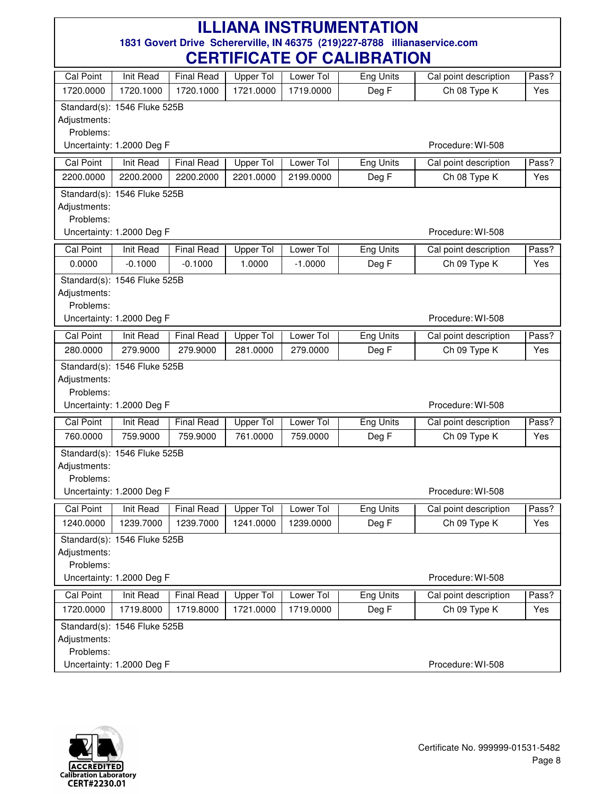|                  |                              |                   | LIIII IVATE VI   |                       | 1151 K.N. IVIT   |                       |       |
|------------------|------------------------------|-------------------|------------------|-----------------------|------------------|-----------------------|-------|
| <b>Cal Point</b> | <b>Init Read</b>             | <b>Final Read</b> | Upper Tol        | Lower Tol             | Eng Units        | Cal point description | Pass? |
| 1720.0000        | 1720.1000                    | 1720.1000         | 1721.0000        | 1719.0000             | Deg F            | Ch 08 Type K          | Yes   |
|                  | Standard(s): 1546 Fluke 525B |                   |                  |                       |                  |                       |       |
| Adjustments:     |                              |                   |                  |                       |                  |                       |       |
| Problems:        |                              |                   |                  |                       |                  |                       |       |
|                  | Uncertainty: 1.2000 Deg F    |                   |                  |                       |                  | Procedure: WI-508     |       |
| <b>Cal Point</b> | Init Read                    | <b>Final Read</b> | <b>Upper Tol</b> | Lower Tol             | <b>Eng Units</b> | Cal point description | Pass? |
| 2200.0000        | 2200.2000                    | 2200.2000         | 2201.0000        | 2199.0000             | Deg F            | Ch 08 Type K          | Yes   |
|                  | Standard(s): 1546 Fluke 525B |                   |                  |                       |                  |                       |       |
| Adjustments:     |                              |                   |                  |                       |                  |                       |       |
| Problems:        |                              |                   |                  |                       |                  |                       |       |
|                  | Uncertainty: 1.2000 Deg F    |                   |                  |                       |                  | Procedure: WI-508     |       |
| Cal Point        | Init Read                    | <b>Final Read</b> | Upper Tol        | Lower Tol             | <b>Eng Units</b> | Cal point description | Pass? |
| 0.0000           | $-0.1000$                    | $-0.1000$         | 1.0000           | $-1.0000$             | Deg F            | Ch 09 Type K          | Yes   |
|                  | Standard(s): 1546 Fluke 525B |                   |                  |                       |                  |                       |       |
| Adjustments:     |                              |                   |                  |                       |                  |                       |       |
| Problems:        |                              |                   |                  |                       |                  |                       |       |
|                  | Uncertainty: 1.2000 Deg F    |                   |                  |                       |                  | Procedure: WI-508     |       |
| Cal Point        | Init Read                    | <b>Final Read</b> | <b>Upper Tol</b> | Lower Tol             | <b>Eng Units</b> | Cal point description | Pass? |
| 280.0000         | 279.9000                     | 279.9000          | 281.0000         | 279.0000              | Deg F            | Ch 09 Type K          | Yes   |
|                  | Standard(s): 1546 Fluke 525B |                   |                  |                       |                  |                       |       |
| Adjustments:     |                              |                   |                  |                       |                  |                       |       |
| Problems:        |                              |                   |                  |                       |                  |                       |       |
|                  | Uncertainty: 1.2000 Deg F    |                   |                  |                       |                  | Procedure: WI-508     |       |
| <b>Cal Point</b> | <b>Init Read</b>             | <b>Final Read</b> | <b>Upper Tol</b> | Lower Tol             | <b>Eng Units</b> | Cal point description | Pass? |
| 760.0000         | 759.9000                     | 759.9000          | 761.0000         | 759.0000              | Deg F            | Ch 09 Type K          | Yes   |
|                  | Standard(s): 1546 Fluke 525B |                   |                  |                       |                  |                       |       |
| Adjustments:     |                              |                   |                  |                       |                  |                       |       |
| Problems:        |                              |                   |                  |                       |                  |                       |       |
|                  | Uncertainty: 1.2000 Deg F    |                   |                  |                       |                  | Procedure: WI-508     |       |
| <b>Cal Point</b> | <b>Init Read</b>             | Final Read        |                  | Upper Tol   Lower Tol | Eng Units        | Cal point description | Pass? |
| 1240.0000        | 1239.7000                    | 1239.7000         | 1241.0000        | 1239.0000             | Deg F            | Ch 09 Type K          | Yes   |
|                  | Standard(s): 1546 Fluke 525B |                   |                  |                       |                  |                       |       |
| Adjustments:     |                              |                   |                  |                       |                  |                       |       |
| Problems:        |                              |                   |                  |                       |                  |                       |       |
|                  | Uncertainty: 1.2000 Deg F    |                   |                  |                       |                  | Procedure: WI-508     |       |
| <b>Cal Point</b> | <b>Init Read</b>             | <b>Final Read</b> | <b>Upper Tol</b> | Lower Tol             | <b>Eng Units</b> | Cal point description | Pass? |
| 1720.0000        | 1719.8000                    | 1719.8000         | 1721.0000        | 1719.0000             | Deg F            | Ch 09 Type K          | Yes   |
|                  | Standard(s): 1546 Fluke 525B |                   |                  |                       |                  |                       |       |
| Adjustments:     |                              |                   |                  |                       |                  |                       |       |
| Problems:        |                              |                   |                  |                       |                  |                       |       |
|                  | Uncertainty: 1.2000 Deg F    |                   |                  |                       |                  | Procedure: WI-508     |       |

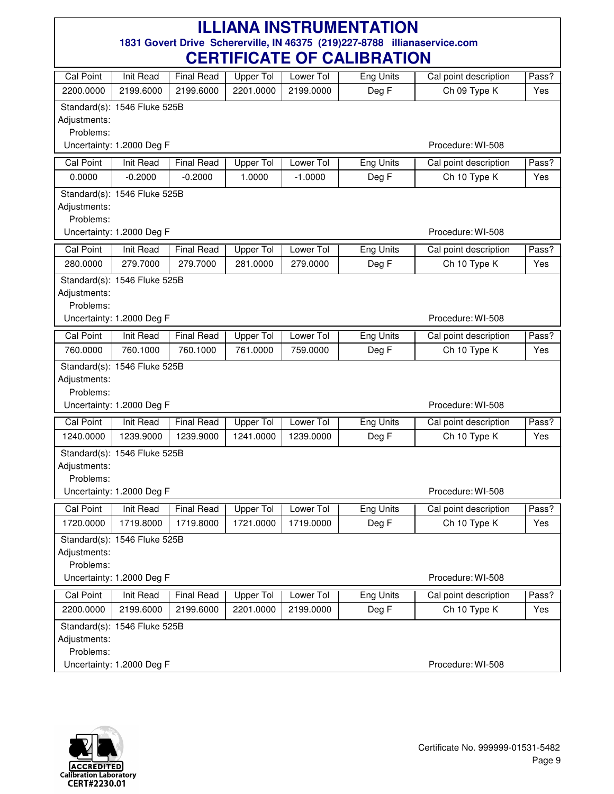|                                                             |                              |                   | VLIIIII IVATL VI                   |           | <b>VALIPHATIVIT</b> |                       |       |
|-------------------------------------------------------------|------------------------------|-------------------|------------------------------------|-----------|---------------------|-----------------------|-------|
| <b>Cal Point</b>                                            | Init Read                    | <b>Final Read</b> | Upper Tol                          | Lower Tol | Eng Units           | Cal point description | Pass? |
| 2200.0000                                                   | 2199.6000                    | 2199.6000         | 2201.0000                          | 2199.0000 | Deg F               | Ch 09 Type K          | Yes   |
|                                                             | Standard(s): 1546 Fluke 525B |                   |                                    |           |                     |                       |       |
| Adjustments:                                                |                              |                   |                                    |           |                     |                       |       |
| Problems:                                                   |                              |                   |                                    |           |                     |                       |       |
|                                                             | Uncertainty: 1.2000 Deg F    |                   |                                    |           |                     | Procedure: WI-508     |       |
| <b>Cal Point</b>                                            | Init Read                    | <b>Final Read</b> | Upper Tol                          | Lower Tol | Eng Units           | Cal point description | Pass? |
| 0.0000                                                      | $-0.2000$                    | $-0.2000$         | 1.0000                             | $-1.0000$ | Deg F               | Ch 10 Type K          | Yes   |
|                                                             | Standard(s): 1546 Fluke 525B |                   |                                    |           |                     |                       |       |
| Adjustments:                                                |                              |                   |                                    |           |                     |                       |       |
| Problems:<br>Uncertainty: 1.2000 Deg F<br>Procedure: WI-508 |                              |                   |                                    |           |                     |                       |       |
|                                                             |                              |                   |                                    |           |                     |                       |       |
| <b>Cal Point</b>                                            | Init Read                    | <b>Final Read</b> | Upper Tol                          | Lower Tol | <b>Eng Units</b>    | Cal point description | Pass? |
| 280.0000                                                    | 279.7000                     | 279.7000          | 281.0000                           | 279.0000  | Deg F               | Ch 10 Type K          | Yes   |
|                                                             | Standard(s): 1546 Fluke 525B |                   |                                    |           |                     |                       |       |
| Adjustments:                                                |                              |                   |                                    |           |                     |                       |       |
| Problems:                                                   | Uncertainty: 1.2000 Deg F    |                   |                                    |           |                     | Procedure: WI-508     |       |
|                                                             |                              |                   |                                    |           |                     |                       |       |
| <b>Cal Point</b>                                            | <b>Init Read</b>             | <b>Final Read</b> | <b>Upper Tol</b>                   | Lower Tol | <b>Eng Units</b>    | Cal point description | Pass? |
| 760.0000                                                    | 760.1000                     | 760.1000          | 761.0000                           | 759.0000  | Deg F               | Ch 10 Type K          | Yes   |
|                                                             | Standard(s): 1546 Fluke 525B |                   |                                    |           |                     |                       |       |
| Adjustments:<br>Problems:                                   |                              |                   |                                    |           |                     |                       |       |
|                                                             | Uncertainty: 1.2000 Deg F    |                   |                                    |           |                     | Procedure: WI-508     |       |
| <b>Cal Point</b>                                            | Init Read                    | <b>Final Read</b> | <b>Upper Tol</b>                   | Lower Tol | Eng Units           | Cal point description | Pass? |
| 1240.0000                                                   | 1239.9000                    | 1239.9000         | 1241.0000                          | 1239.0000 | Deg F               | Ch 10 Type K          | Yes   |
|                                                             |                              |                   |                                    |           |                     |                       |       |
| Adjustments:                                                | Standard(s): 1546 Fluke 525B |                   |                                    |           |                     |                       |       |
| Problems:                                                   |                              |                   |                                    |           |                     |                       |       |
|                                                             | Uncertainty: 1.2000 Deg F    |                   |                                    |           |                     | Procedure: WI-508     |       |
| Cal Point                                                   | Init Read                    | $\mathbf{I}$      | Final Read   Upper Tol   Lower Tol |           | Eng Units           | Cal point description | Pass? |
| 1720.0000                                                   | 1719.8000                    | 1719.8000         | 1721.0000                          | 1719.0000 | Deg F               | Ch 10 Type K          | Yes   |
|                                                             | Standard(s): 1546 Fluke 525B |                   |                                    |           |                     |                       |       |
| Adjustments:                                                |                              |                   |                                    |           |                     |                       |       |
| Problems:                                                   |                              |                   |                                    |           |                     |                       |       |
|                                                             | Uncertainty: 1.2000 Deg F    |                   |                                    |           |                     | Procedure: WI-508     |       |
| Cal Point                                                   | Init Read                    | <b>Final Read</b> | Upper Tol                          | Lower Tol | <b>Eng Units</b>    | Cal point description | Pass? |
| 2200.0000                                                   | 2199.6000                    | 2199.6000         | 2201.0000                          | 2199.0000 | Deg F               | Ch 10 Type K          | Yes   |
|                                                             | Standard(s): 1546 Fluke 525B |                   |                                    |           |                     |                       |       |
| Adjustments:                                                |                              |                   |                                    |           |                     |                       |       |
| Problems:                                                   |                              |                   |                                    |           |                     |                       |       |
|                                                             | Uncertainty: 1.2000 Deg F    |                   |                                    |           |                     | Procedure: WI-508     |       |

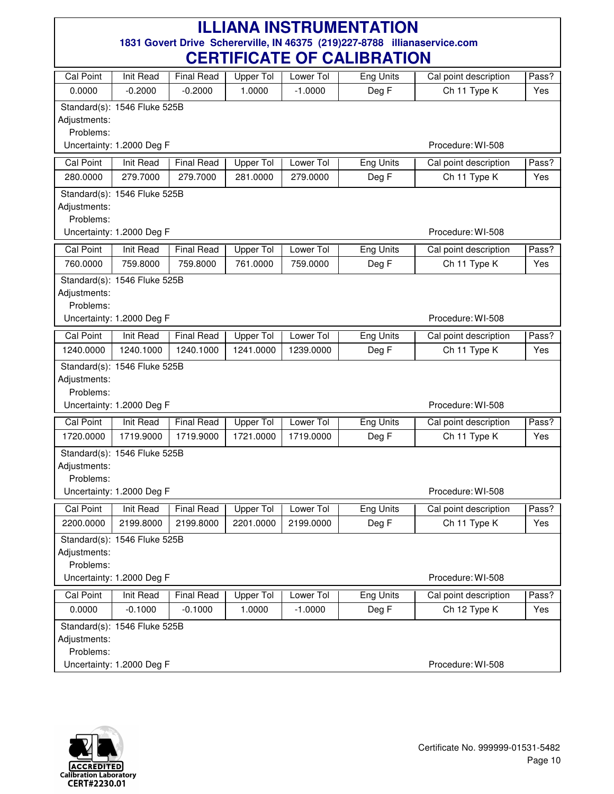| Cal Point                 | <b>Init Read</b>             | <b>Final Read</b> | Upper Tol        | Lower Tol | Eng Units        | Cal point description | Pass? |
|---------------------------|------------------------------|-------------------|------------------|-----------|------------------|-----------------------|-------|
| 0.0000                    | $-0.2000$                    | $-0.2000$         | 1.0000           | $-1.0000$ | Deg F            | Ch 11 Type K          | Yes   |
|                           | Standard(s): 1546 Fluke 525B |                   |                  |           |                  |                       |       |
| Adjustments:              |                              |                   |                  |           |                  |                       |       |
| Problems:                 |                              |                   |                  |           |                  |                       |       |
|                           | Uncertainty: 1.2000 Deg F    |                   |                  |           |                  | Procedure: WI-508     |       |
| <b>Cal Point</b>          | Init Read                    | <b>Final Read</b> | Upper Tol        | Lower Tol | <b>Eng Units</b> | Cal point description | Pass? |
| 280.0000                  | 279.7000                     | 279.7000          | 281.0000         | 279.0000  | Deg F            | Ch 11 Type K          | Yes   |
|                           | Standard(s): 1546 Fluke 525B |                   |                  |           |                  |                       |       |
| Adjustments:<br>Problems: |                              |                   |                  |           |                  |                       |       |
|                           | Uncertainty: 1.2000 Deg F    |                   |                  |           |                  | Procedure: WI-508     |       |
| Cal Point                 | Init Read                    | <b>Final Read</b> | <b>Upper Tol</b> | Lower Tol | <b>Eng Units</b> | Cal point description | Pass? |
| 760.0000                  | 759.8000                     | 759.8000          | 761.0000         | 759.0000  | Deg F            | Ch 11 Type K          | Yes   |
|                           |                              |                   |                  |           |                  |                       |       |
| Adjustments:              | Standard(s): 1546 Fluke 525B |                   |                  |           |                  |                       |       |
| Problems:                 |                              |                   |                  |           |                  |                       |       |
|                           | Uncertainty: 1.2000 Deg F    |                   |                  |           |                  | Procedure: WI-508     |       |
| <b>Cal Point</b>          | <b>Init Read</b>             | <b>Final Read</b> | <b>Upper Tol</b> | Lower Tol | <b>Eng Units</b> | Cal point description | Pass? |
| 1240.0000                 | 1240.1000                    | 1240.1000         | 1241.0000        | 1239.0000 | Deg F            | Ch 11 Type K          | Yes   |
|                           | Standard(s): 1546 Fluke 525B |                   |                  |           |                  |                       |       |
| Adjustments:              |                              |                   |                  |           |                  |                       |       |
| Problems:                 |                              |                   |                  |           |                  |                       |       |
|                           | Uncertainty: 1.2000 Deg F    |                   |                  |           |                  | Procedure: WI-508     |       |
| <b>Cal Point</b>          | Init Read                    | <b>Final Read</b> | <b>Upper Tol</b> | Lower Tol | <b>Eng Units</b> | Cal point description | Pass? |
| 1720.0000                 | 1719.9000                    | 1719.9000         | 1721.0000        | 1719.0000 | Deg F            | Ch 11 Type K          | Yes   |
|                           | Standard(s): 1546 Fluke 525B |                   |                  |           |                  |                       |       |
| Adjustments:              |                              |                   |                  |           |                  |                       |       |
| Problems:                 |                              |                   |                  |           |                  |                       |       |
|                           | Uncertainty: 1.2000 Deg F    |                   |                  |           |                  | Procedure: WI-508     |       |
| Cal Point                 | Init Read                    | <b>Final Read</b> | Upper Tol        | Lower Tol | Eng Units        | Cal point description | Pass? |
| 2200.0000                 | 2199.8000                    | 2199.8000         | 2201.0000        | 2199.0000 | Deg F            | Ch 11 Type K          | Yes   |
|                           | Standard(s): 1546 Fluke 525B |                   |                  |           |                  |                       |       |
| Adjustments:<br>Problems: |                              |                   |                  |           |                  |                       |       |
|                           | Uncertainty: 1.2000 Deg F    |                   |                  |           |                  | Procedure: WI-508     |       |
| Cal Point                 | Init Read                    | <b>Final Read</b> | Upper Tol        | Lower Tol | <b>Eng Units</b> | Cal point description | Pass? |
| 0.0000                    | $-0.1000$                    | $-0.1000$         | 1.0000           | $-1.0000$ | Deg F            | Ch 12 Type K          | Yes   |
|                           | Standard(s): 1546 Fluke 525B |                   |                  |           |                  |                       |       |
| Adjustments:              |                              |                   |                  |           |                  |                       |       |
| Problems:                 |                              |                   |                  |           |                  |                       |       |
|                           | Uncertainty: 1.2000 Deg F    |                   |                  |           |                  | Procedure: WI-508     |       |